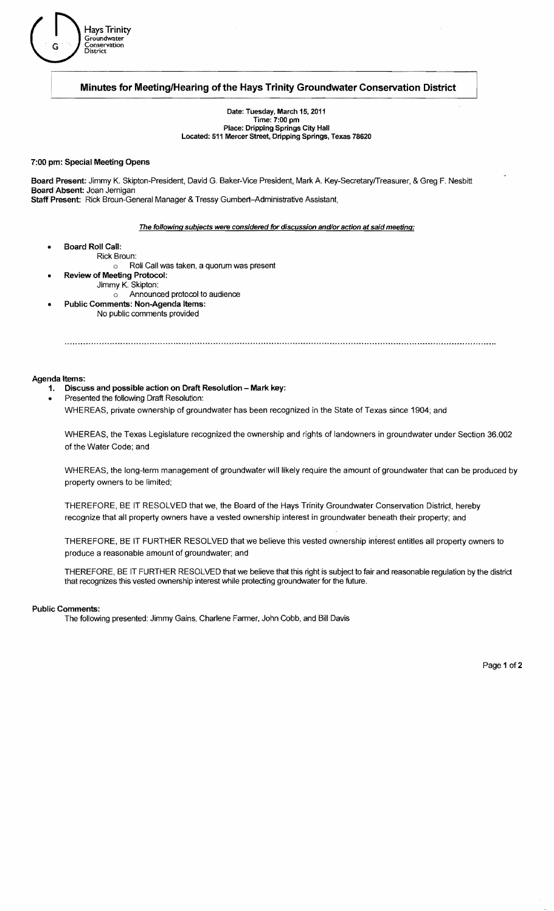

## Minutes for Meeting/Hearing of the Hays Trinity Groundwater Conservation District

Date: Tuesday, March 15, 2011 Time: 7:00 pm Place: Dripping Springs City Hall Located: 511 Mercer Street, Dripping Springs, Texas 78620

#### 7:00 pm: Special Meeting Opens

Board Present: Jimmy K. Skipton-President, David G. Baker-Vice President, Mark A. Key-SecretaryfTreasurer, & Greg F. Nesbitt Board Absent: Joan Jernigan Staff Present: Rick Broun-General Manager & Tressy Gumbert-Administrative Assistant,

#### The following subjects were considered for discussion and/or action *at* said meeting:

- Board Roll Call:
- Rick Broun:
	- o Roll Call was taken, a quorum was present
	- Review of Meeting Protocol:
		- Jimmy K. Skipton:
			- o Announced protocol to audience
- Public Comments: Non-Agenda Items: No public comments provided

#### Agenda Items:

- 1. Discuss and possible action on Draft Resolution Mark key:
- Presented the following Draft Resolution:

WHEREAS, private ownership of groundwater has been recognized in the State of Texas since 1904; and

WHEREAS, the Texas Legislature recognized the ownership and rights of landowners in groundwater under Section 36.002 of the Water Code; and

WHEREAS, the long-term management of groundwater will likely require the amount of groundwater that can be produced by property owners to be limited;

THEREFORE, BE IT RESOLVED that we, the Board of the Hays Trinity Groundwater Conservation District, hereby recognize that all property owners have a vested ownership interest in groundwater beneath their property; and

THEREFORE, BE IT FURTHER RESOLVED that we believe this vested ownership inierest entitles all property owners to produce a reasonable amount of groundwater; and

THEREFORE, BE IT FURTHER RESOLVED that we believe that this right is subject to fair and reasonable regulation by the district that recognizes this vested ownership interest while protecting groundwater for the future.

#### Public Comments:

The following presented: Jimmy Gains, Charlene Farmer, John Cobb, and Bill Davis